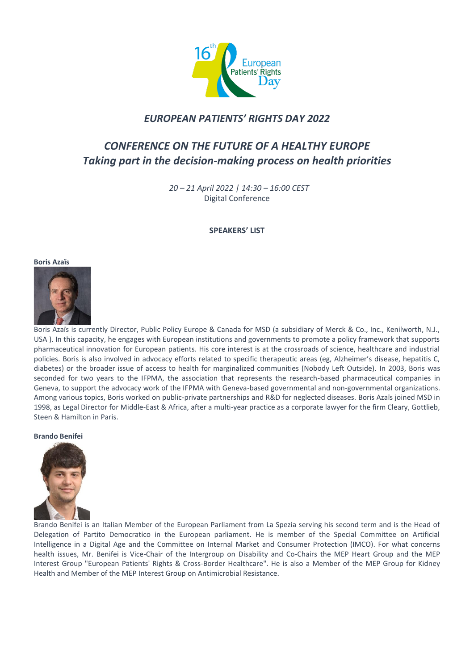

# *EUROPEAN PATIENTS' RIGHTS DAY 2022*

# *CONFERENCE ON THE FUTURE OF A HEALTHY EUROPE Taking part in the decision-making process on health priorities*

 *20 – 21 April 2022 | 14:30 – 16:00 CEST* Digital Conference

# **SPEAKERS' LIST**

# **Boris Azaïs**



Boris Azaïs is currently Director, Public Policy Europe & Canada for MSD (a subsidiary of Merck & Co., Inc., Kenilworth, N.J., USA ). In this capacity, he engages with European institutions and governments to promote a policy framework that supports pharmaceutical innovation for European patients. His core interest is at the crossroads of science, healthcare and industrial policies. Boris is also involved in advocacy efforts related to specific therapeutic areas (eg, Alzheimer's disease, hepatitis C, diabetes) or the broader issue of access to health for marginalized communities (Nobody Left Outside). In 2003, Boris was seconded for two years to the IFPMA, the association that represents the research-based pharmaceutical companies in Geneva, to support the advocacy work of the IFPMA with Geneva-based governmental and non-governmental organizations. Among various topics, Boris worked on public-private partnerships and R&D for neglected diseases. Boris Azaïs joined MSD in 1998, as Legal Director for Middle-East & Africa, after a multi-year practice as a corporate lawyer for the firm Cleary, Gottlieb, Steen & Hamilton in Paris.

# **Brando Benifei**



Brando Benifei is an Italian Member of the European Parliament from La Spezia serving his second term and is the Head of Delegation of Partito Democratico in the European parliament. He is member of the Special Committee on Artificial Intelligence in a Digital Age and the Committee on Internal Market and Consumer Protection (IMCO). For what concerns health issues, Mr. Benifei is Vice-Chair of the Intergroup on Disability and Co-Chairs the MEP Heart Group and the MEP Interest Group "European Patients' Rights & Cross-Border Healthcare". He is also a Member of the MEP Group for Kidney Health and Member of the MEP Interest Group on Antimicrobial Resistance.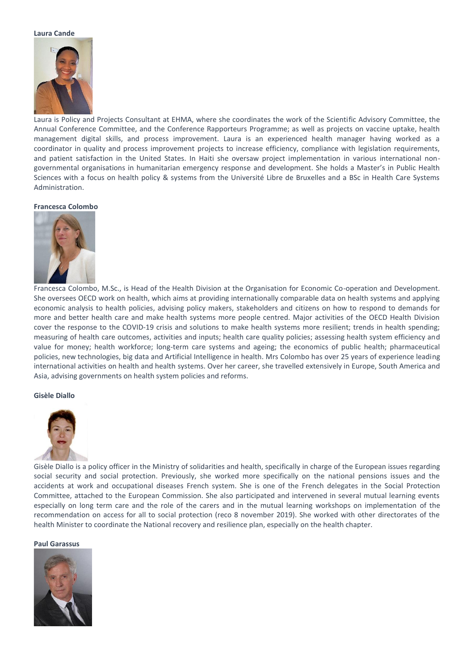#### **Laura Cande**



Laura is Policy and Projects Consultant at EHMA, where she coordinates the work of the Scientific Advisory Committee, the Annual Conference Committee, and the Conference Rapporteurs Programme; as well as projects on vaccine uptake, health management digital skills, and process improvement. Laura is an experienced health manager having worked as a coordinator in quality and process improvement projects to increase efficiency, compliance with legislation requirements, and patient satisfaction in the United States. In Haiti she oversaw project implementation in various international nongovernmental organisations in humanitarian emergency response and development. She holds a Master's in Public Health Sciences with a focus on health policy & systems from the Université Libre de Bruxelles and a BSc in Health Care Systems Administration.

# **Francesca Colombo**



Francesca Colombo, M.Sc., is Head of the Health Division at the Organisation for Economic Co-operation and Development. She oversees OECD work on health, which aims at providing internationally comparable data on health systems and applying economic analysis to health policies, advising policy makers, stakeholders and citizens on how to respond to demands for more and better health care and make health systems more people centred. Major activities of the OECD Health Division cover the response to the COVID-19 crisis and solutions to make health systems more resilient; trends in health spending; measuring of health care outcomes, activities and inputs; health care quality policies; assessing health system efficiency and value for money; health workforce; long-term care systems and ageing; the economics of public health; pharmaceutical policies, new technologies, big data and Artificial Intelligence in health. Mrs Colombo has over 25 years of experience leading international activities on health and health systems. Over her career, she travelled extensively in Europe, South America and Asia, advising governments on health system policies and reforms.

# **Gisèle Diallo**



Gisèle Diallo is a policy officer in the Ministry of solidarities and health, specifically in charge of the European issues regarding social security and social protection. Previously, she worked more specifically on the national pensions issues and the accidents at work and occupational diseases French system. She is one of the French delegates in the Social Protection Committee, attached to the European Commission. She also participated and intervened in several mutual learning events especially on long term care and the role of the carers and in the mutual learning workshops on implementation of the recommendation on access for all to social protection (reco 8 november 2019). She worked with other directorates of the health Minister to coordinate the National recovery and resilience plan, especially on the health chapter.

# **Paul Garassus**

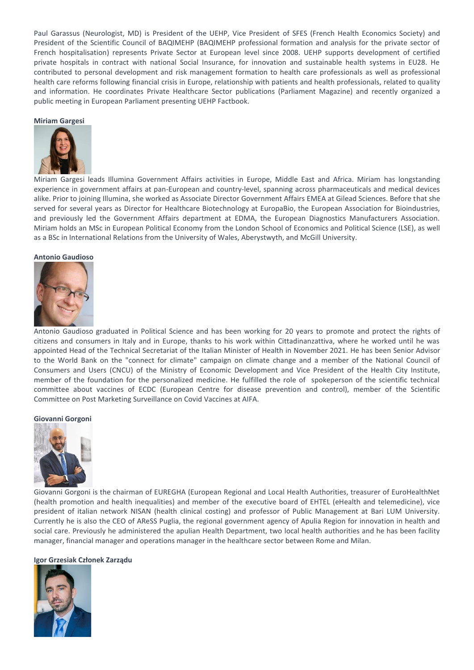Paul Garassus (Neurologist, MD) is President of the UEHP, Vice President of SFES (French Health Economics Society) and President of the Scientific Council of BAQIMEHP (BAQIMEHP professional formation and analysis for the private sector of French hospitalisation) represents Private Sector at European level since 2008. UEHP supports development of certified private hospitals in contract with national Social Insurance, for innovation and sustainable health systems in EU28. He contributed to personal development and risk management formation to health care professionals as well as professional health care reforms following financial crisis in Europe, relationship with patients and health professionals, related to quality and information. He coordinates Private Healthcare Sector publications (Parliament Magazine) and recently organized a public meeting in European Parliament presenting UEHP Factbook.

#### **Miriam Gargesi**



Miriam Gargesi leads Illumina Government Affairs activities in Europe, Middle East and Africa. Miriam has longstanding experience in government affairs at pan-European and country-level, spanning across pharmaceuticals and medical devices alike. Prior to joining Illumina, she worked as Associate Director Government Affairs EMEA at Gilead Sciences. Before that she served for several years as Director for Healthcare Biotechnology at EuropaBio, the European Association for Bioindustries, and previously led the Government Affairs department at EDMA, the European Diagnostics Manufacturers Association. Miriam holds an MSc in European Political Economy from the London School of Economics and Political Science (LSE), as well as a BSc in International Relations from the University of Wales, Aberystwyth, and McGill University.

# **Antonio Gaudioso**



Antonio Gaudioso graduated in Political Science and has been working for 20 years to promote and protect the rights of citizens and consumers in Italy and in Europe, thanks to his work within Cittadinanzattiva, where he worked until he was appointed Head of the Technical Secretariat of the Italian Minister of Health in November 2021. He has been Senior Advisor to the World Bank on the "connect for climate" campaign on climate change and a member of the National Council of Consumers and Users (CNCU) of the Ministry of Economic Development and Vice President of the Health City Institute, member of the foundation for the personalized medicine. He fulfilled the role of spokeperson of the scientific technical committee about vaccines of ECDC (European Centre for disease prevention and control), member of the Scientific Committee on Post Marketing Surveillance on Covid Vaccines at AIFA.

#### **Giovanni Gorgoni**



Giovanni Gorgoni is the chairman of EUREGHA (European Regional and Local Health Authorities, treasurer of EuroHealthNet (health promotion and health inequalities) and member of the executive board of EHTEL (eHealth and telemedicine), vice president of italian network NISAN (health clinical costing) and professor of Public Management at Bari LUM University. Currently he is also the CEO of AReSS Puglia, the regional government agency of Apulia Region for innovation in health and social care. Previously he administered the apulian Health Department, two local health authorities and he has been facility manager, financial manager and operations manager in the healthcare sector between Rome and Milan.

#### **Igor Grzesiak Członek Zarządu**

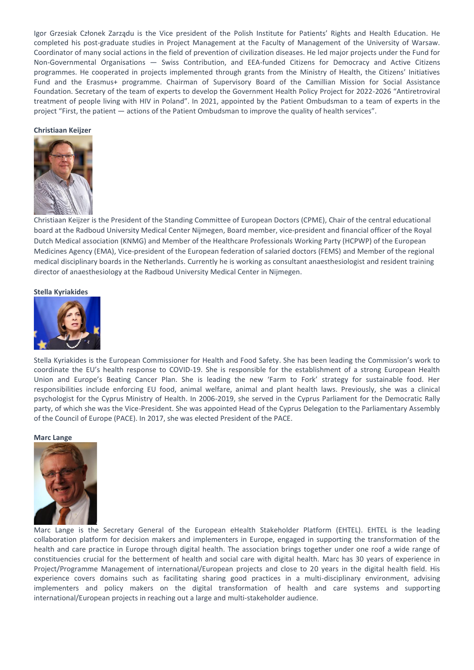Igor Grzesiak Członek Zarządu is the Vice president of the Polish Institute for Patients' Rights and Health Education. He completed his post-graduate studies in Project Management at the Faculty of Management of the University of Warsaw. Coordinator of many social actions in the field of prevention of civilization diseases. He led major projects under the Fund for Non-Governmental Organisations — Swiss Contribution, and EEA-funded Citizens for Democracy and Active Citizens programmes. He cooperated in projects implemented through grants from the Ministry of Health, the Citizens' Initiatives Fund and the Erasmus+ programme. Chairman of Supervisory Board of the Camillian Mission for Social Assistance Foundation. Secretary of the team of experts to develop the Government Health Policy Project for 2022-2026 "Antiretroviral treatment of people living with HIV in Poland". In 2021, appointed by the Patient Ombudsman to a team of experts in the project "First, the patient — actions of the Patient Ombudsman to improve the quality of health services".

# **Christiaan Keijzer**



Christiaan Keijzer is the President of the Standing Committee of European Doctors (CPME), Chair of the central educational board at the Radboud University Medical Center Nijmegen, Board member, vice-president and financial officer of the Royal Dutch Medical association (KNMG) and Member of the Healthcare Professionals Working Party (HCPWP) of the European Medicines Agency (EMA), Vice-president of the European federation of salaried doctors (FEMS) and Member of the regional medical disciplinary boards in the Netherlands. Currently he is working as consultant anaesthesiologist and resident training director of anaesthesiology at the Radboud University Medical Center in Nijmegen.

# **Stella Kyriakides**



Stella Kyriakides is the European Commissioner for Health and Food Safety. She has been leading the Commission's work to coordinate the EU's health response to COVID-19. She is responsible for the establishment of a strong European Health Union and Europe's Beating Cancer Plan. She is leading the new 'Farm to Fork' strategy for sustainable food. Her responsibilities include enforcing EU food, animal welfare, animal and plant health laws. Previously, she was a clinical psychologist for the Cyprus Ministry of Health. In 2006-2019, she served in the Cyprus Parliament for the Democratic Rally party, of which she was the Vice-President. She was appointed Head of the Cyprus Delegation to the Parliamentary Assembly of the Council of Europe (PACE). In 2017, she was elected President of the PACE.

#### **Marc Lange**



Marc Lange is the Secretary General of the European eHealth Stakeholder Platform (EHTEL). EHTEL is the leading collaboration platform for decision makers and implementers in Europe, engaged in supporting the transformation of the health and care practice in Europe through digital health. The association brings together under one roof a wide range of constituencies crucial for the betterment of health and social care with digital health. Marc has 30 years of experience in Project/Programme Management of international/European projects and close to 20 years in the digital health field. His experience covers domains such as facilitating sharing good practices in a multi-disciplinary environment, advising implementers and policy makers on the digital transformation of health and care systems and supporting international/European projects in reaching out a large and multi-stakeholder audience.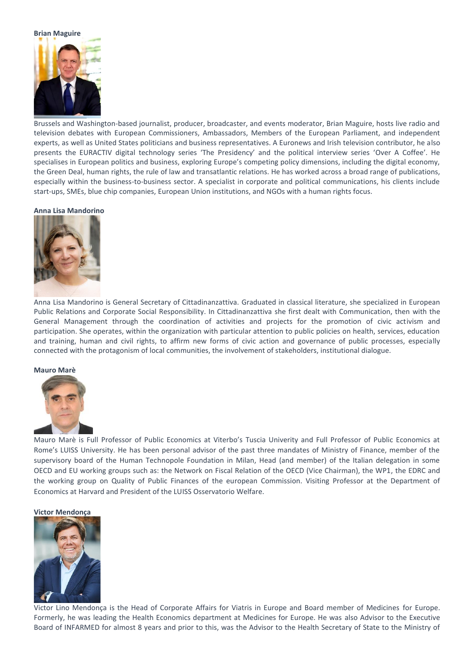# **Brian Maguire**



Brussels and Washington-based journalist, producer, broadcaster, and events moderator, Brian Maguire, hosts live radio and television debates with European Commissioners, Ambassadors, Members of the European Parliament, and independent experts, as well as United States politicians and business representatives. A Euronews and Irish television contributor, he also presents the EURACTIV digital technology series 'The Presidency' and the political interview series 'Over A Coffee'. He specialises in European politics and business, exploring Europe's competing policy dimensions, including the digital economy, the Green Deal, human rights, the rule of law and transatlantic relations. He has worked across a broad range of publications, especially within the business-to-business sector. A specialist in corporate and political communications, his clients include start-ups, SMEs, blue chip companies, European Union institutions, and NGOs with a human rights focus.

# **Anna Lisa Mandorino**



Anna Lisa Mandorino is General Secretary of Cittadinanzattiva. Graduated in classical literature, she specialized in European Public Relations and Corporate Social Responsibility. In Cittadinanzattiva she first dealt with Communication, then with the General Management through the coordination of activities and projects for the promotion of civic activism and participation. She operates, within the organization with particular attention to public policies on health, services, education and training, human and civil rights, to affirm new forms of civic action and governance of public processes, especially connected with the protagonism of local communities, the involvement of stakeholders, institutional dialogue.

# **Mauro Marè**



Mauro Marè is Full Professor of Public Economics at Viterbo's Tuscia Univerity and Full Professor of Public Economics at Rome's LUISS University. He has been personal advisor of the past three mandates of Ministry of Finance, member of the supervisory board of the Human Technopole Foundation in Milan, Head (and member) of the Italian delegation in some OECD and EU working groups such as: the Network on Fiscal Relation of the OECD (Vice Chairman), the WP1, the EDRC and the working group on Quality of Public Finances of the european Commission. Visiting Professor at the Department of Economics at Harvard and President of the LUISS Osservatorio Welfare.

#### **Victor Mendonça**



Victor Lino Mendonça is the Head of Corporate Affairs for Viatris in Europe and Board member of Medicines for Europe. Formerly, he was leading the Health Economics department at Medicines for Europe. He was also Advisor to the Executive Board of INFARMED for almost 8 years and prior to this, was the Advisor to the Health Secretary of State to the Ministry of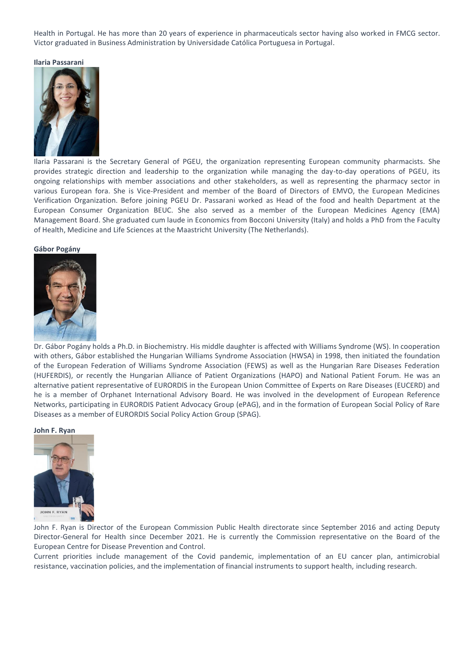Health in Portugal. He has more than 20 years of experience in pharmaceuticals sector having also worked in FMCG sector. Victor graduated in Business Administration by Universidade Católica Portuguesa in Portugal.

**Ilaria Passarani** 



Ilaria Passarani is the Secretary General of PGEU, the organization representing European community pharmacists. She provides strategic direction and leadership to the organization while managing the day-to-day operations of PGEU, its ongoing relationships with member associations and other stakeholders, as well as representing the pharmacy sector in various European fora. She is Vice-President and member of the Board of Directors of EMVO, the European Medicines Verification Organization. Before joining PGEU Dr. Passarani worked as Head of the food and health Department at the European Consumer Organization BEUC. She also served as a member of the European Medicines Agency (EMA) Management Board. She graduated cum laude in Economics from Bocconi University (Italy) and holds a PhD from the Faculty of Health, Medicine and Life Sciences at the Maastricht University (The Netherlands).

#### **Gábor Pogány**



Dr. Gábor Pogány holds a Ph.D. in Biochemistry. His middle daughter is affected with Williams Syndrome (WS). In cooperation with others, Gábor established the Hungarian Williams Syndrome Association (HWSA) in 1998, then initiated the foundation of the European Federation of Williams Syndrome Association (FEWS) as well as the Hungarian Rare Diseases Federation (HUFERDIS), or recently the Hungarian Alliance of Patient Organizations (HAPO) and National Patient Forum. He was an alternative patient representative of EURORDIS in the European Union Committee of Experts on Rare Diseases (EUCERD) and he is a member of Orphanet International Advisory Board. He was involved in the development of European Reference Networks, participating in EURORDIS Patient Advocacy Group (ePAG), and in the formation of European Social Policy of Rare Diseases as a member of EURORDIS Social Policy Action Group (SPAG).

#### **John F. Ryan**



John F. Ryan is Director of the European Commission Public Health directorate since September 2016 and acting Deputy Director-General for Health since December 2021. He is currently the Commission representative on the Board of the European Centre for Disease Prevention and Control.

Current priorities include management of the Covid pandemic, implementation of an EU cancer plan, antimicrobial resistance, vaccination policies, and the implementation of financial instruments to support health, including research.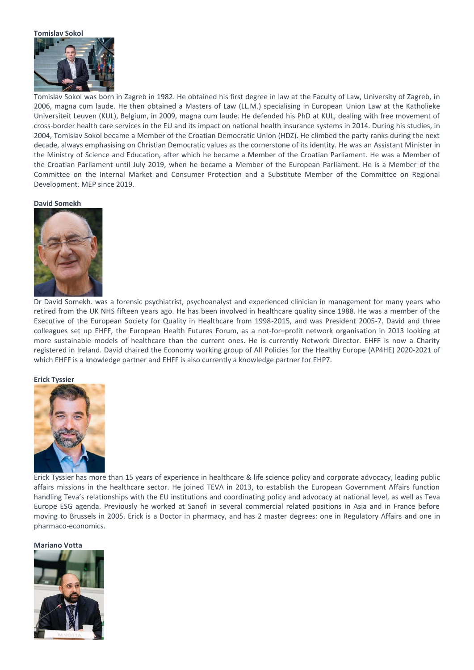#### **Tomislav Sokol**



Tomislav Sokol was born in Zagreb in 1982. He obtained his first degree in law at the Faculty of Law, University of Zagreb, in 2006, magna cum laude. He then obtained a Masters of Law (LL.M.) specialising in European Union Law at the Katholieke Universiteit Leuven (KUL), Belgium, in 2009, magna cum laude. He defended his PhD at KUL, dealing with free movement of cross-border health care services in the EU and its impact on national health insurance systems in 2014. During his studies, in 2004, Tomislav Sokol became a Member of the Croatian Democratic Union (HDZ). He climbed the party ranks during the next decade, always emphasising on Christian Democratic values as the cornerstone of its identity. He was an Assistant Minister in the Ministry of Science and Education, after which he became a Member of the Croatian Parliament. He was a Member of the Croatian Parliament until July 2019, when he became a Member of the European Parliament. He is a Member of the Committee on the Internal Market and Consumer Protection and a Substitute Member of the Committee on Regional Development. MEP since 2019.

#### **David Somekh**



Dr David Somekh. was a forensic psychiatrist, psychoanalyst and experienced clinician in management for many years who retired from the UK NHS fifteen years ago. He has been involved in healthcare quality since 1988. He was a member of the Executive of the European Society for Quality in Healthcare from 1998-2015, and was President 2005-7. David and three colleagues set up EHFF, the European Health Futures Forum, as a not-for–profit network organisation in 2013 looking at more sustainable models of healthcare than the current ones. He is currently Network Director. EHFF is now a Charity registered in Ireland. David chaired the Economy working group of All Policies for the Healthy Europe (AP4HE) 2020-2021 of which EHFF is a knowledge partner and EHFF is also currently a knowledge partner for EHP7.

#### **Erick Tyssier**



Erick Tyssier has more than 15 years of experience in healthcare & life science policy and corporate advocacy, leading public affairs missions in the healthcare sector. He joined TEVA in 2013, to establish the European Government Affairs function handling Teva's relationships with the EU institutions and coordinating policy and advocacy at national level, as well as Teva Europe ESG agenda. Previously he worked at Sanofi in several commercial related positions in Asia and in France before moving to Brussels in 2005. Erick is a Doctor in pharmacy, and has 2 master degrees: one in Regulatory Affairs and one in pharmaco-economics.

# **Mariano Votta**